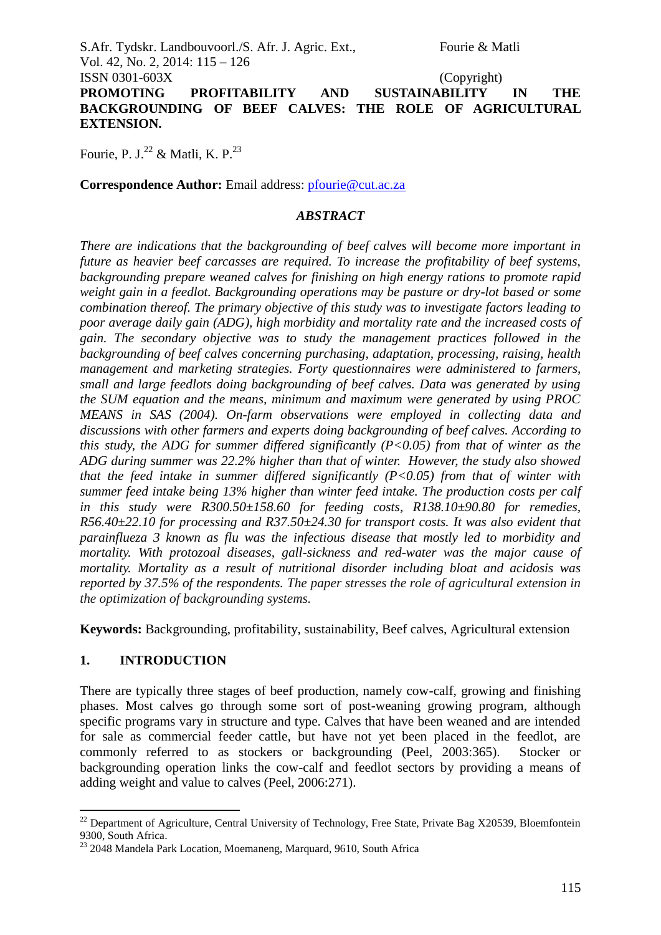S.Afr. Tydskr. Landbouvoorl./S. Afr. J. Agric. Ext., Fourie & Matli Vol. 42, No. 2, 2014: 115 – 126 ISSN 0301-603X (Copyright) **PROMOTING PROFITABILITY AND SUSTAINABILITY IN THE BACKGROUNDING OF BEEF CALVES: THE ROLE OF AGRICULTURAL EXTENSION.**

Fourie, P. J.<sup>22</sup> & Matli, K. P.<sup>23</sup>

**Correspondence Author:** Email address: [pfourie@cut.ac.za](mailto:pfourie@cut.ac.za)

## *ABSTRACT*

*There are indications that the backgrounding of beef calves will become more important in future as heavier beef carcasses are required. To increase the profitability of beef systems, backgrounding prepare weaned calves for finishing on high energy rations to promote rapid weight gain in a feedlot. Backgrounding operations may be pasture or dry-lot based or some combination thereof. The primary objective of this study was to investigate factors leading to poor average daily gain (ADG), high morbidity and mortality rate and the increased costs of gain. The secondary objective was to study the management practices followed in the backgrounding of beef calves concerning purchasing, adaptation, processing, raising, health management and marketing strategies. Forty questionnaires were administered to farmers, small and large feedlots doing backgrounding of beef calves. Data was generated by using the SUM equation and the means, minimum and maximum were generated by using PROC MEANS in SAS (2004). On-farm observations were employed in collecting data and discussions with other farmers and experts doing backgrounding of beef calves. According to this study, the ADG for summer differed significantly (P<0.05) from that of winter as the ADG during summer was 22.2% higher than that of winter. However, the study also showed that the feed intake in summer differed significantly (P<0.05) from that of winter with summer feed intake being 13% higher than winter feed intake. The production costs per calf in this study were R300.50±158.60 for feeding costs, R138.10±90.80 for remedies, R56.40±22.10 for processing and R37.50±24.30 for transport costs. It was also evident that parainflueza 3 known as flu was the infectious disease that mostly led to morbidity and mortality. With protozoal diseases, gall-sickness and red-water was the major cause of mortality. Mortality as a result of nutritional disorder including bloat and acidosis was reported by 37.5% of the respondents. The paper stresses the role of agricultural extension in the optimization of backgrounding systems.*

**Keywords:** Backgrounding, profitability, sustainability, Beef calves, Agricultural extension

## **1. INTRODUCTION**

1

There are typically three stages of beef production, namely cow-calf, growing and finishing phases. Most calves go through some sort of post-weaning growing program, although specific programs vary in structure and type. Calves that have been weaned and are intended for sale as commercial feeder cattle, but have not yet been placed in the feedlot, are commonly referred to as stockers or backgrounding (Peel, 2003:365). Stocker or backgrounding operation links the cow-calf and feedlot sectors by providing a means of adding weight and value to calves (Peel, 2006:271).

<sup>&</sup>lt;sup>22</sup> Department of Agriculture, Central University of Technology, Free State, Private Bag X20539, Bloemfontein 9300, South Africa.

<sup>&</sup>lt;sup>23</sup> 2048 Mandela Park Location, Moemaneng, Marquard, 9610, South Africa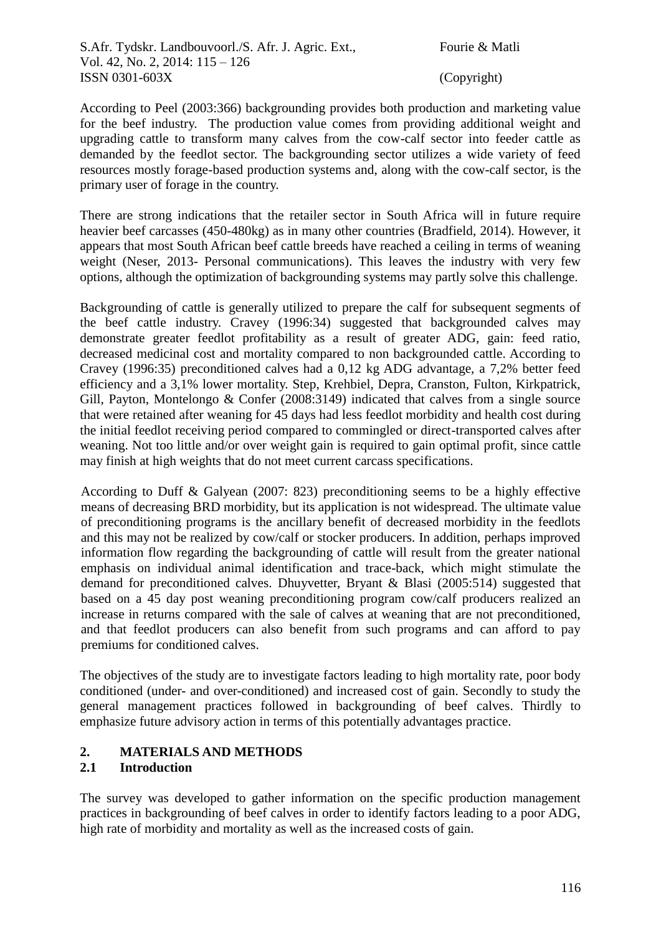According to Peel (2003:366) backgrounding provides both production and marketing value for the beef industry. The production value comes from providing additional weight and upgrading cattle to transform many calves from the cow-calf sector into feeder cattle as demanded by the feedlot sector. The backgrounding sector utilizes a wide variety of feed resources mostly forage-based production systems and, along with the cow-calf sector, is the primary user of forage in the country.

There are strong indications that the retailer sector in South Africa will in future require heavier beef carcasses (450-480kg) as in many other countries (Bradfield, 2014). However, it appears that most South African beef cattle breeds have reached a ceiling in terms of weaning weight (Neser, 2013- Personal communications). This leaves the industry with very few options, although the optimization of backgrounding systems may partly solve this challenge.

Backgrounding of cattle is generally utilized to prepare the calf for subsequent segments of the beef cattle industry. Cravey (1996:34) suggested that backgrounded calves may demonstrate greater feedlot profitability as a result of greater ADG, gain: feed ratio, decreased medicinal cost and mortality compared to non backgrounded cattle. According to Cravey (1996:35) preconditioned calves had a 0,12 kg ADG advantage, a 7,2% better feed efficiency and a 3,1% lower mortality. Step, Krehbiel, Depra, Cranston, Fulton, Kirkpatrick, Gill, Payton, Montelongo & Confer (2008:3149) indicated that calves from a single source that were retained after weaning for 45 days had less feedlot morbidity and health cost during the initial feedlot receiving period compared to commingled or direct-transported calves after weaning. Not too little and/or over weight gain is required to gain optimal profit, since cattle may finish at high weights that do not meet current carcass specifications.

According to Duff & Galyean (2007: 823) preconditioning seems to be a highly effective means of decreasing BRD morbidity, but its application is not widespread. The ultimate value of preconditioning programs is the ancillary benefit of decreased morbidity in the feedlots and this may not be realized by cow/calf or stocker producers. In addition, perhaps improved information flow regarding the backgrounding of cattle will result from the greater national emphasis on individual animal identification and trace-back, which might stimulate the demand for preconditioned calves. Dhuyvetter, Bryant & Blasi (2005:514) suggested that based on a 45 day post weaning preconditioning program cow/calf producers realized an increase in returns compared with the sale of calves at weaning that are not preconditioned, and that feedlot producers can also benefit from such programs and can afford to pay premiums for conditioned calves.

The objectives of the study are to investigate factors leading to high mortality rate, poor body conditioned (under- and over-conditioned) and increased cost of gain. Secondly to study the general management practices followed in backgrounding of beef calves. Thirdly to emphasize future advisory action in terms of this potentially advantages practice.

# **2. MATERIALS AND METHODS**

# **2.1 Introduction**

The survey was developed to gather information on the specific production management practices in backgrounding of beef calves in order to identify factors leading to a poor ADG, high rate of morbidity and mortality as well as the increased costs of gain.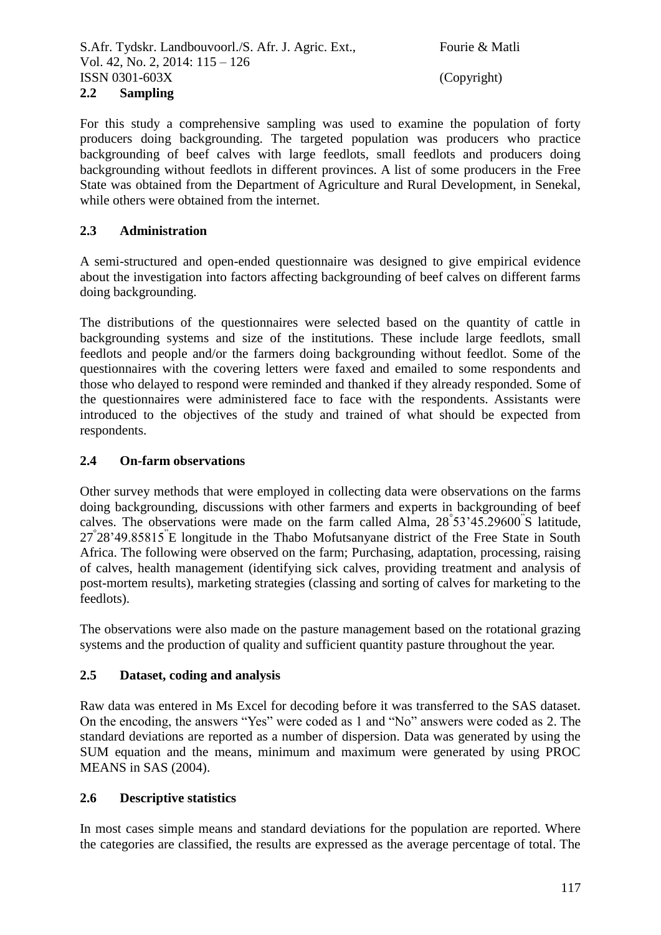## **2.2 Sampling**

For this study a comprehensive sampling was used to examine the population of forty producers doing backgrounding. The targeted population was producers who practice backgrounding of beef calves with large feedlots, small feedlots and producers doing backgrounding without feedlots in different provinces. A list of some producers in the Free State was obtained from the Department of Agriculture and Rural Development, in Senekal, while others were obtained from the internet.

## **2.3 Administration**

A semi-structured and open-ended questionnaire was designed to give empirical evidence about the investigation into factors affecting backgrounding of beef calves on different farms doing backgrounding.

The distributions of the questionnaires were selected based on the quantity of cattle in backgrounding systems and size of the institutions. These include large feedlots, small feedlots and people and/or the farmers doing backgrounding without feedlot. Some of the questionnaires with the covering letters were faxed and emailed to some respondents and those who delayed to respond were reminded and thanked if they already responded. Some of the questionnaires were administered face to face with the respondents. Assistants were introduced to the objectives of the study and trained of what should be expected from respondents.

## **2.4 On-farm observations**

Other survey methods that were employed in collecting data were observations on the farms doing backgrounding, discussions with other farmers and experts in backgrounding of beef calves. The observations were made on the farm called Alma, 28° 53'45.29600" S latitude, 27° 28'49.85815" E longitude in the Thabo Mofutsanyane district of the Free State in South Africa. The following were observed on the farm; Purchasing, adaptation, processing, raising of calves, health management (identifying sick calves, providing treatment and analysis of post-mortem results), marketing strategies (classing and sorting of calves for marketing to the feedlots).

The observations were also made on the pasture management based on the rotational grazing systems and the production of quality and sufficient quantity pasture throughout the year.

## **2.5 Dataset, coding and analysis**

Raw data was entered in Ms Excel for decoding before it was transferred to the SAS dataset. On the encoding, the answers "Yes" were coded as 1 and "No" answers were coded as 2. The standard deviations are reported as a number of dispersion. Data was generated by using the SUM equation and the means, minimum and maximum were generated by using PROC MEANS in SAS (2004).

## **2.6 Descriptive statistics**

In most cases simple means and standard deviations for the population are reported. Where the categories are classified, the results are expressed as the average percentage of total. The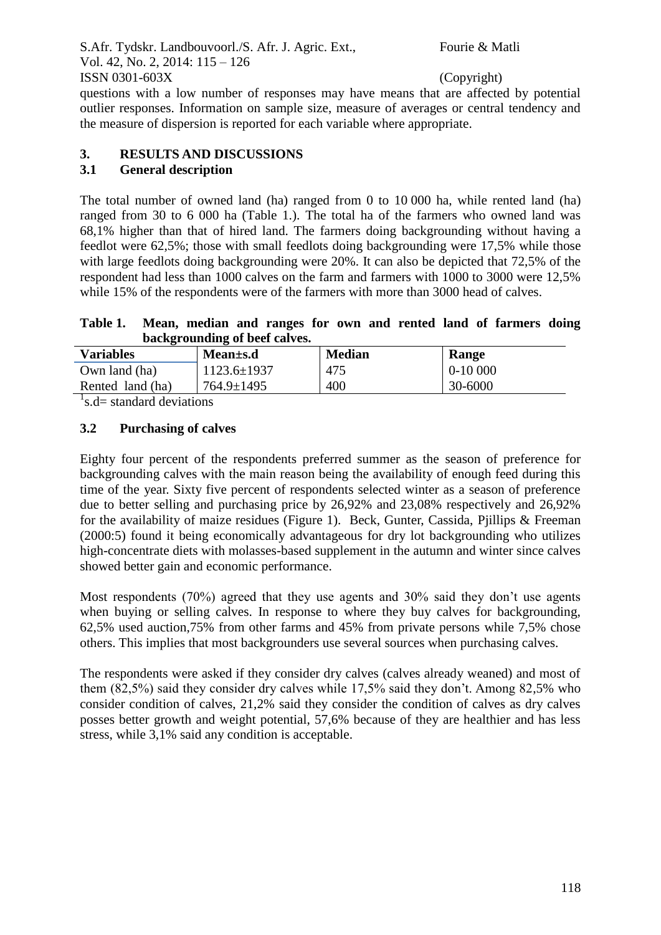questions with a low number of responses may have means that are affected by potential outlier responses. Information on sample size, measure of averages or central tendency and the measure of dispersion is reported for each variable where appropriate.

# **3. RESULTS AND DISCUSSIONS**

## **3.1 General description**

The total number of owned land (ha) ranged from 0 to 10 000 ha, while rented land (ha) ranged from 30 to 6 000 ha (Table 1.). The total ha of the farmers who owned land was 68,1% higher than that of hired land. The farmers doing backgrounding without having a feedlot were 62,5%; those with small feedlots doing backgrounding were 17,5% while those with large feedlots doing backgrounding were 20%. It can also be depicted that 72.5% of the respondent had less than 1000 calves on the farm and farmers with 1000 to 3000 were 12,5% while 15% of the respondents were of the farmers with more than 3000 head of calves.

**Table 1. Mean, median and ranges for own and rented land of farmers doing backgrounding of beef calves.**

| <b>Variables</b> | Mean±s.d          | <b>Median</b> | <b>Range</b> |
|------------------|-------------------|---------------|--------------|
| Own land (ha)    | $1123.6 \pm 1937$ | 475           | $0-10000$    |
| Rented land (ha) | 764.9±1495        | 400           | 30-6000      |

 $1$ <sub>s.</sub>d= standard deviations

## **3.2 Purchasing of calves**

Eighty four percent of the respondents preferred summer as the season of preference for backgrounding calves with the main reason being the availability of enough feed during this time of the year. Sixty five percent of respondents selected winter as a season of preference due to better selling and purchasing price by 26,92% and 23,08% respectively and 26,92% for the availability of maize residues (Figure 1). Beck, Gunter, Cassida, Pjillips & Freeman (2000:5) found it being economically advantageous for dry lot backgrounding who utilizes high-concentrate diets with molasses-based supplement in the autumn and winter since calves showed better gain and economic performance.

Most respondents (70%) agreed that they use agents and 30% said they don't use agents when buying or selling calves. In response to where they buy calves for backgrounding, 62,5% used auction,75% from other farms and 45% from private persons while 7,5% chose others. This implies that most backgrounders use several sources when purchasing calves.

The respondents were asked if they consider dry calves (calves already weaned) and most of them (82,5%) said they consider dry calves while 17,5% said they don't. Among 82,5% who consider condition of calves, 21,2% said they consider the condition of calves as dry calves posses better growth and weight potential, 57,6% because of they are healthier and has less stress, while 3,1% said any condition is acceptable.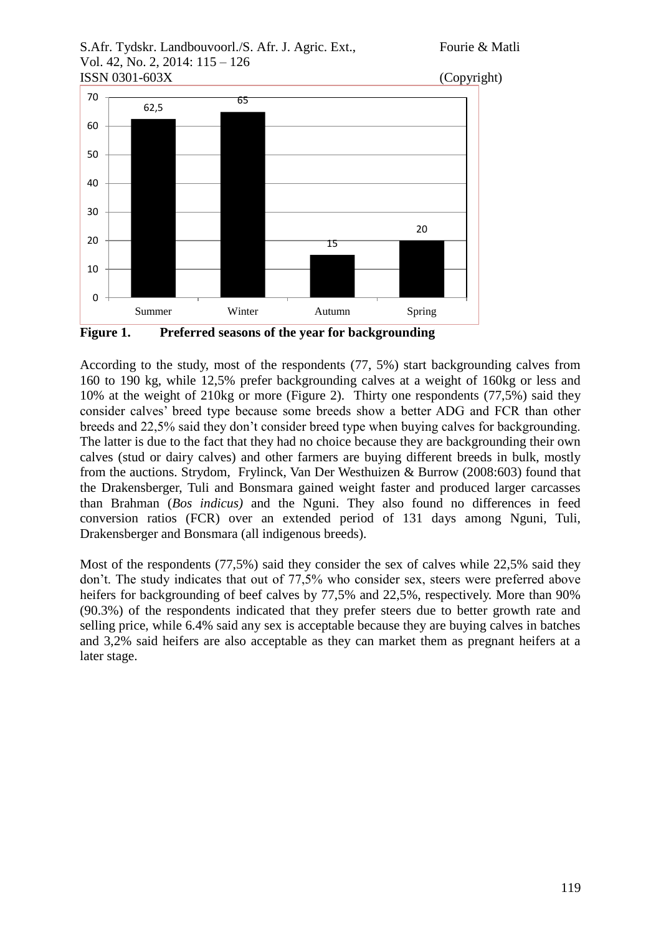



**Figure 1. Preferred seasons of the year for backgrounding**

According to the study, most of the respondents (77, 5%) start backgrounding calves from 160 to 190 kg, while 12,5% prefer backgrounding calves at a weight of 160kg or less and 10% at the weight of 210kg or more (Figure 2). Thirty one respondents (77,5%) said they consider calves' breed type because some breeds show a better ADG and FCR than other breeds and 22,5% said they don't consider breed type when buying calves for backgrounding. The latter is due to the fact that they had no choice because they are backgrounding their own calves (stud or dairy calves) and other farmers are buying different breeds in bulk, mostly from the auctions. Strydom, Frylinck, Van Der Westhuizen & Burrow (2008:603) found that the Drakensberger, Tuli and Bonsmara gained weight faster and produced larger carcasses than Brahman (*Bos indicus)* and the Nguni. They also found no differences in feed conversion ratios (FCR) over an extended period of 131 days among Nguni, Tuli, Drakensberger and Bonsmara (all indigenous breeds).

Most of the respondents (77,5%) said they consider the sex of calves while 22,5% said they don't. The study indicates that out of 77,5% who consider sex, steers were preferred above heifers for backgrounding of beef calves by 77,5% and 22,5%, respectively. More than 90% (90.3%) of the respondents indicated that they prefer steers due to better growth rate and selling price, while 6.4% said any sex is acceptable because they are buying calves in batches and 3,2% said heifers are also acceptable as they can market them as pregnant heifers at a later stage.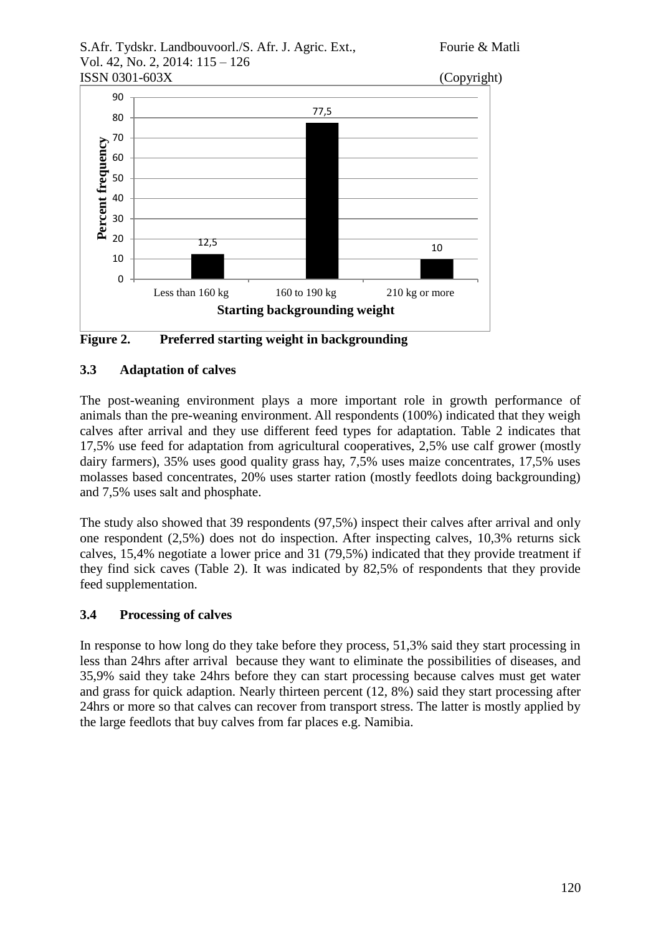



**Figure 2. Preferred starting weight in backgrounding**

# **3.3 Adaptation of calves**

The post-weaning environment plays a more important role in growth performance of animals than the pre-weaning environment. All respondents (100%) indicated that they weigh calves after arrival and they use different feed types for adaptation. Table 2 indicates that 17,5% use feed for adaptation from agricultural cooperatives, 2,5% use calf grower (mostly dairy farmers), 35% uses good quality grass hay, 7,5% uses maize concentrates, 17,5% uses molasses based concentrates, 20% uses starter ration (mostly feedlots doing backgrounding) and 7,5% uses salt and phosphate.

The study also showed that 39 respondents (97,5%) inspect their calves after arrival and only one respondent (2,5%) does not do inspection. After inspecting calves, 10,3% returns sick calves, 15,4% negotiate a lower price and 31 (79,5%) indicated that they provide treatment if they find sick caves (Table 2). It was indicated by 82,5% of respondents that they provide feed supplementation.

# **3.4 Processing of calves**

In response to how long do they take before they process, 51,3% said they start processing in less than 24hrs after arrival because they want to eliminate the possibilities of diseases, and 35,9% said they take 24hrs before they can start processing because calves must get water and grass for quick adaption. Nearly thirteen percent (12, 8%) said they start processing after 24hrs or more so that calves can recover from transport stress. The latter is mostly applied by the large feedlots that buy calves from far places e.g. Namibia.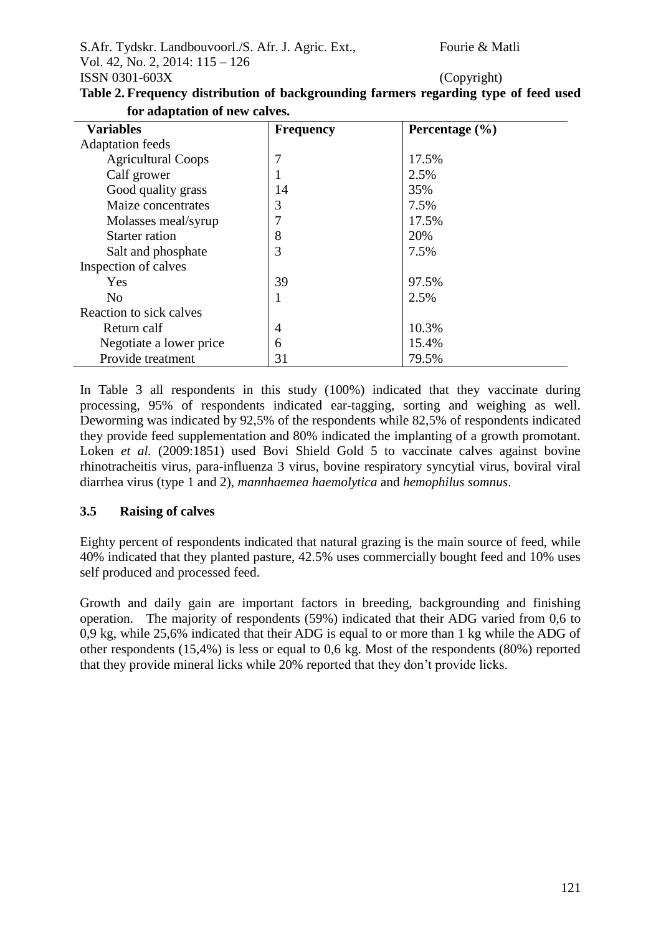| Copyright) |  |
|------------|--|

| <b>Variables</b>          | <b>Frequency</b> | Percentage $(\% )$ |  |
|---------------------------|------------------|--------------------|--|
| <b>Adaptation</b> feeds   |                  |                    |  |
| <b>Agricultural Coops</b> | 7                | 17.5%              |  |
| Calf grower               | -1               | 2.5%               |  |
| Good quality grass        | 14               | 35%                |  |
| Maize concentrates        | 3                | 7.5%               |  |
| Molasses meal/syrup       | 7                | 17.5%              |  |
| Starter ration            | 8                | 20%                |  |
| Salt and phosphate        | 3                | 7.5%               |  |
| Inspection of calves      |                  |                    |  |
| Yes                       | 39               | 97.5%              |  |
| N <sub>0</sub>            | 1                | 2.5%               |  |
| Reaction to sick calves   |                  |                    |  |
| Return calf               | 4                | 10.3%              |  |
| Negotiate a lower price   | 6                | 15.4%              |  |
| Provide treatment         | 31               | 79.5%              |  |

**Table 2. Frequency distribution of backgrounding farmers regarding type of feed used for adaptation of new calves.**

In Table 3 all respondents in this study (100%) indicated that they vaccinate during processing, 95% of respondents indicated ear-tagging, sorting and weighing as well. Deworming was indicated by 92,5% of the respondents while 82,5% of respondents indicated they provide feed supplementation and 80% indicated the implanting of a growth promotant. Loken *et al.* (2009:1851) used Bovi Shield Gold 5 to vaccinate calves against bovine rhinotracheitis virus, para-influenza 3 virus, bovine respiratory syncytial virus, boviral viral diarrhea virus (type 1 and 2), *mannhaemea haemolytica* and *hemophilus somnus*.

## **3.5 Raising of calves**

Eighty percent of respondents indicated that natural grazing is the main source of feed, while 40% indicated that they planted pasture, 42.5% uses commercially bought feed and 10% uses self produced and processed feed.

Growth and daily gain are important factors in breeding, backgrounding and finishing operation. The majority of respondents (59%) indicated that their ADG varied from 0,6 to 0,9 kg, while 25,6% indicated that their ADG is equal to or more than 1 kg while the ADG of other respondents (15,4%) is less or equal to 0,6 kg. Most of the respondents (80%) reported that they provide mineral licks while 20% reported that they don't provide licks.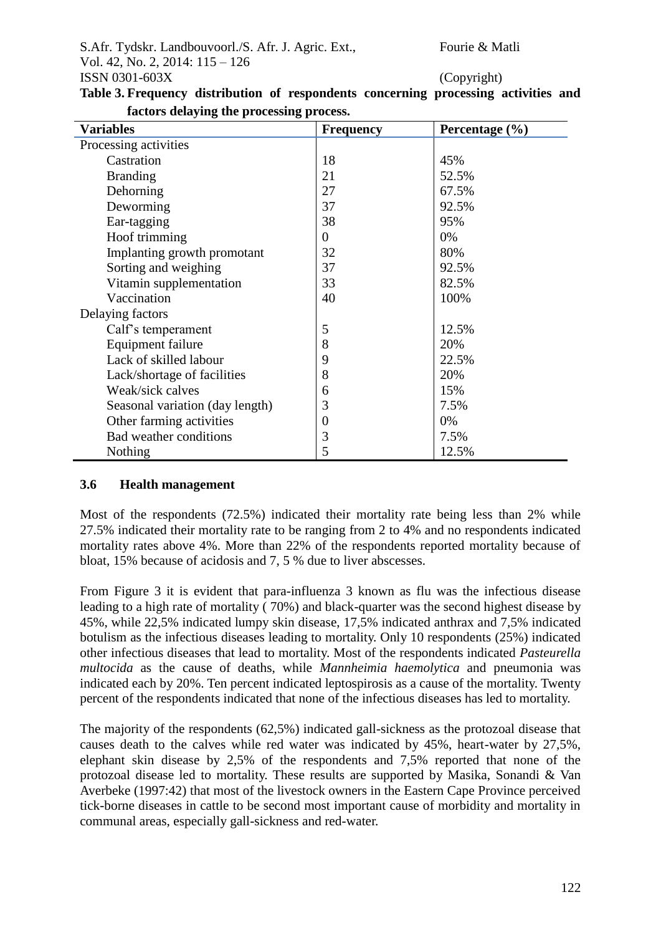| Variables                       | <b>Frequency</b> | Percentage (%) |
|---------------------------------|------------------|----------------|
| Processing activities           |                  |                |
| Castration                      | 18               | 45%            |
| <b>Branding</b>                 | 21               | 52.5%          |
| Dehorning                       | 27               | 67.5%          |
| Deworming                       | 37               | 92.5%          |
| Ear-tagging                     | 38               | 95%            |
| Hoof trimming                   | $\overline{0}$   | 0%             |
| Implanting growth promotant     | 32               | 80%            |
| Sorting and weighing            | 37               | 92.5%          |
| Vitamin supplementation         | 33               | 82.5%          |
| Vaccination                     | 40               | 100%           |
| Delaying factors                |                  |                |
| Calf's temperament              | 5                | 12.5%          |
| <b>Equipment failure</b>        | 8                | 20%            |
| Lack of skilled labour          | 9                | 22.5%          |
| Lack/shortage of facilities     | 8                | 20%            |
| Weak/sick calves                | 6                | 15%            |
| Seasonal variation (day length) | 3                | 7.5%           |
| Other farming activities        | $\overline{0}$   | 0%             |
| Bad weather conditions          | 3                | 7.5%           |
| Nothing                         | 5                | 12.5%          |

**Table 3. Frequency distribution of respondents concerning processing activities and factors delaying the processing process.**

### **3.6 Health management**

Most of the respondents (72.5%) indicated their mortality rate being less than 2% while 27.5% indicated their mortality rate to be ranging from 2 to 4% and no respondents indicated mortality rates above 4%. More than 22% of the respondents reported mortality because of bloat, 15% because of acidosis and 7, 5 % due to liver abscesses.

From Figure 3 it is evident that para-influenza 3 known as flu was the infectious disease leading to a high rate of mortality ( 70%) and black-quarter was the second highest disease by 45%, while 22,5% indicated lumpy skin disease, 17,5% indicated anthrax and 7,5% indicated botulism as the infectious diseases leading to mortality. Only 10 respondents (25%) indicated other infectious diseases that lead to mortality. Most of the respondents indicated *Pasteurella multocida* as the cause of deaths, while *Mannheimia haemolytica* and pneumonia was indicated each by 20%. Ten percent indicated leptospirosis as a cause of the mortality. Twenty percent of the respondents indicated that none of the infectious diseases has led to mortality.

The majority of the respondents (62,5%) indicated gall-sickness as the protozoal disease that causes death to the calves while red water was indicated by 45%, heart-water by 27,5%, elephant skin disease by 2,5% of the respondents and 7,5% reported that none of the protozoal disease led to mortality. These results are supported by Masika, Sonandi & Van Averbeke (1997:42) that most of the livestock owners in the Eastern Cape Province perceived tick-borne diseases in cattle to be second most important cause of morbidity and mortality in communal areas, especially gall-sickness and red-water.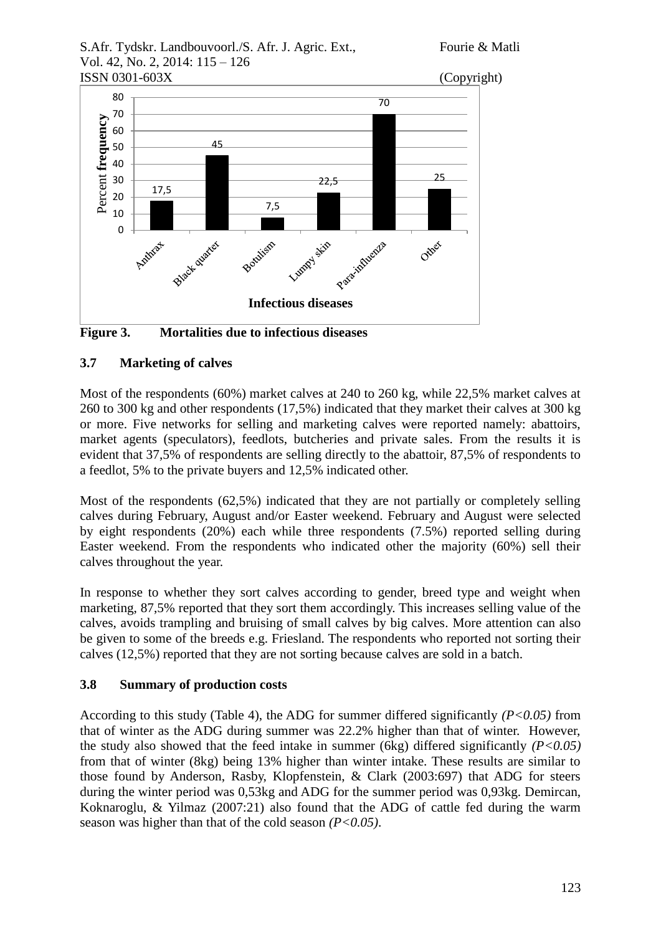



**Figure 3. Mortalities due to infectious diseases**

# **3.7 Marketing of calves**

Most of the respondents (60%) market calves at 240 to 260 kg, while 22,5% market calves at 260 to 300 kg and other respondents (17,5%) indicated that they market their calves at 300 kg or more. Five networks for selling and marketing calves were reported namely: abattoirs, market agents (speculators), feedlots, butcheries and private sales. From the results it is evident that 37,5% of respondents are selling directly to the abattoir, 87,5% of respondents to a feedlot, 5% to the private buyers and 12,5% indicated other.

Most of the respondents (62,5%) indicated that they are not partially or completely selling calves during February, August and/or Easter weekend. February and August were selected by eight respondents (20%) each while three respondents (7.5%) reported selling during Easter weekend. From the respondents who indicated other the majority (60%) sell their calves throughout the year.

In response to whether they sort calves according to gender, breed type and weight when marketing, 87,5% reported that they sort them accordingly. This increases selling value of the calves, avoids trampling and bruising of small calves by big calves. More attention can also be given to some of the breeds e.g. Friesland. The respondents who reported not sorting their calves (12,5%) reported that they are not sorting because calves are sold in a batch.

# **3.8 Summary of production costs**

According to this study (Table 4), the ADG for summer differed significantly *(P<0.05)* from that of winter as the ADG during summer was 22.2% higher than that of winter. However, the study also showed that the feed intake in summer (6kg) differed significantly *(P<0.05)*  from that of winter (8kg) being 13% higher than winter intake. These results are similar to those found by Anderson, Rasby, Klopfenstein, & Clark (2003:697) that ADG for steers during the winter period was 0,53kg and ADG for the summer period was 0,93kg. Demircan, Koknaroglu, & Yilmaz (2007:21) also found that the ADG of cattle fed during the warm season was higher than that of the cold season *(P<0.05)*.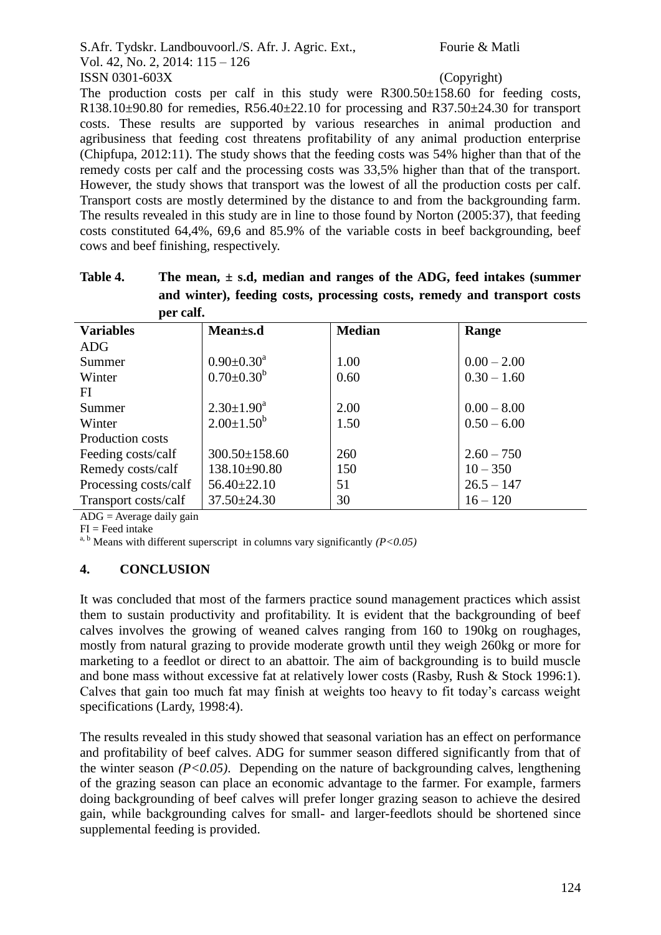The production costs per calf in this study were  $R300.50\pm158.60$  for feeding costs, R138.10 $\pm$ 90.80 for remedies, R56.40 $\pm$ 22.10 for processing and R37.50 $\pm$ 24.30 for transport costs. These results are supported by various researches in animal production and agribusiness that feeding cost threatens profitability of any animal production enterprise (Chipfupa, 2012:11). The study shows that the feeding costs was 54% higher than that of the remedy costs per calf and the processing costs was 33,5% higher than that of the transport. However, the study shows that transport was the lowest of all the production costs per calf. Transport costs are mostly determined by the distance to and from the backgrounding farm. The results revealed in this study are in line to those found by Norton (2005:37), that feeding costs constituted 64,4%, 69,6 and 85.9% of the variable costs in beef backgrounding, beef cows and beef finishing, respectively.

| per calf.             |                     |               |               |
|-----------------------|---------------------|---------------|---------------|
| <b>Variables</b>      | Mean±s.d            | <b>Median</b> | Range         |
| <b>ADG</b>            |                     |               |               |
| Summer                | $0.90 \pm 0.30^a$   | 1.00          | $0.00 - 2.00$ |
| Winter                | $0.70 \pm 0.30^b$   | 0.60          | $0.30 - 1.60$ |
| FI                    |                     |               |               |
| Summer                | $2.30 \pm 1.90^a$   | 2.00          | $0.00 - 8.00$ |
| Winter                | $2.00 \pm 1.50^b$   | 1.50          | $0.50 - 6.00$ |
| Production costs      |                     |               |               |
| Feeding costs/calf    | $300.50 \pm 158.60$ | 260           | $2.60 - 750$  |
| Remedy costs/calf     | $138.10\pm90.80$    | 150           | $10 - 350$    |
| Processing costs/calf | $56.40 \pm 22.10$   | 51            | $26.5 - 147$  |
| Transport costs/calf  | $37.50 \pm 24.30$   | 30            | $16 - 120$    |

| Table 4. | The mean, $\pm$ s.d., median and ranges of the ADG, feed intakes (summer |
|----------|--------------------------------------------------------------------------|
|          | and winter), feeding costs, processing costs, remedy and transport costs |
|          | ner calf                                                                 |

ADG = Average daily gain

 $FI = Feed$  intake

<sup>a, b</sup> Means with different superscript in columns vary significantly  $(P<0.05)$ 

### **4. CONCLUSION**

It was concluded that most of the farmers practice sound management practices which assist them to sustain productivity and profitability. It is evident that the backgrounding of beef calves involves the growing of weaned calves ranging from 160 to 190kg on roughages, mostly from natural grazing to provide moderate growth until they weigh 260kg or more for marketing to a feedlot or direct to an abattoir. The aim of backgrounding is to build muscle and bone mass without excessive fat at relatively lower costs (Rasby, Rush & Stock 1996:1). Calves that gain too much fat may finish at weights too heavy to fit today's carcass weight specifications (Lardy, 1998:4).

The results revealed in this study showed that seasonal variation has an effect on performance and profitability of beef calves. ADG for summer season differed significantly from that of the winter season *(P<0.05)*. Depending on the nature of backgrounding calves, lengthening of the grazing season can place an economic advantage to the farmer. For example, farmers doing backgrounding of beef calves will prefer longer grazing season to achieve the desired gain, while backgrounding calves for small- and larger-feedlots should be shortened since supplemental feeding is provided.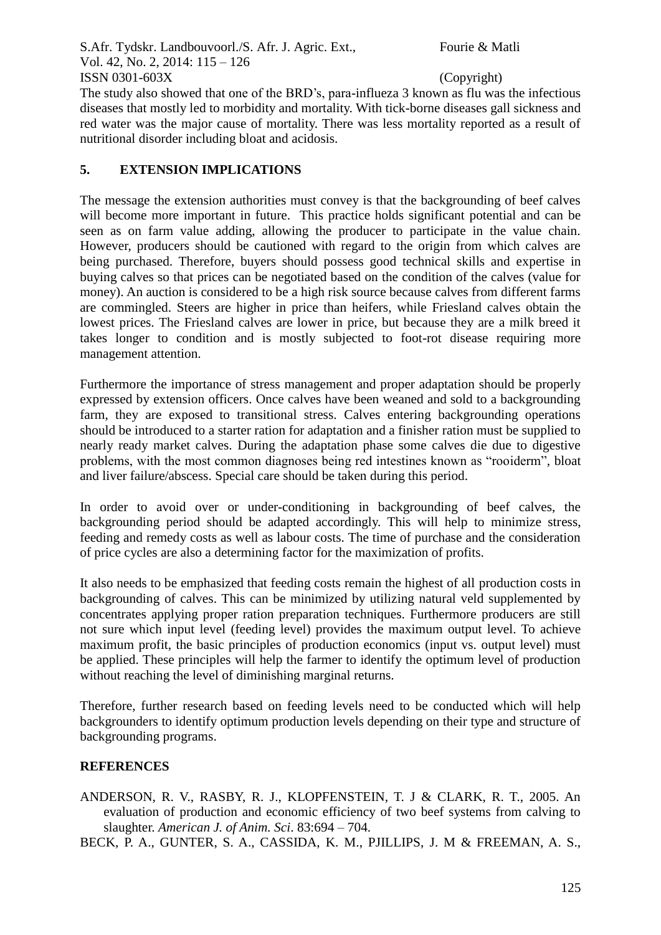The study also showed that one of the BRD's, para-influeza 3 known as flu was the infectious diseases that mostly led to morbidity and mortality. With tick-borne diseases gall sickness and red water was the major cause of mortality. There was less mortality reported as a result of nutritional disorder including bloat and acidosis.

## **5. EXTENSION IMPLICATIONS**

The message the extension authorities must convey is that the backgrounding of beef calves will become more important in future. This practice holds significant potential and can be seen as on farm value adding, allowing the producer to participate in the value chain. However, producers should be cautioned with regard to the origin from which calves are being purchased. Therefore, buyers should possess good technical skills and expertise in buying calves so that prices can be negotiated based on the condition of the calves (value for money). An auction is considered to be a high risk source because calves from different farms are commingled. Steers are higher in price than heifers, while Friesland calves obtain the lowest prices. The Friesland calves are lower in price, but because they are a milk breed it takes longer to condition and is mostly subjected to foot-rot disease requiring more management attention.

Furthermore the importance of stress management and proper adaptation should be properly expressed by extension officers. Once calves have been weaned and sold to a backgrounding farm, they are exposed to transitional stress. Calves entering backgrounding operations should be introduced to a starter ration for adaptation and a finisher ration must be supplied to nearly ready market calves. During the adaptation phase some calves die due to digestive problems, with the most common diagnoses being red intestines known as "rooiderm"*,* bloat and liver failure/abscess. Special care should be taken during this period.

In order to avoid over or under-conditioning in backgrounding of beef calves, the backgrounding period should be adapted accordingly. This will help to minimize stress, feeding and remedy costs as well as labour costs. The time of purchase and the consideration of price cycles are also a determining factor for the maximization of profits.

It also needs to be emphasized that feeding costs remain the highest of all production costs in backgrounding of calves. This can be minimized by utilizing natural veld supplemented by concentrates applying proper ration preparation techniques. Furthermore producers are still not sure which input level (feeding level) provides the maximum output level. To achieve maximum profit, the basic principles of production economics (input vs. output level) must be applied. These principles will help the farmer to identify the optimum level of production without reaching the level of diminishing marginal returns.

Therefore, further research based on feeding levels need to be conducted which will help backgrounders to identify optimum production levels depending on their type and structure of backgrounding programs.

## **REFERENCES**

- ANDERSON, R. V., RASBY, R. J., KLOPFENSTEIN, T. J & CLARK, R. T., 2005. An evaluation of production and economic efficiency of two beef systems from calving to slaughter. *American J. of Anim. Sci*. 83:694 – 704.
- BECK, P. A., GUNTER, S. A., CASSIDA, K. M., PJILLIPS, J. M & FREEMAN, A. S.,